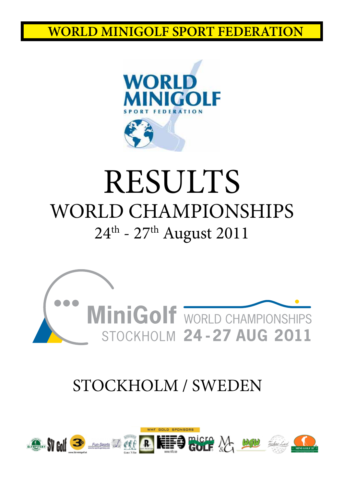

# RESULTS WORLD CHAMPIONSHIPS  $24^{\text{th}}$  -  $27^{\text{th}}$  August 2011



### STOCKHOLM / SWEDEN

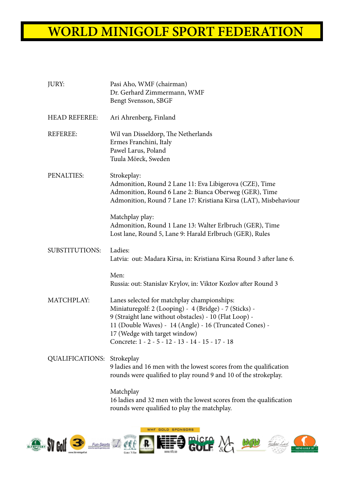| JURY:                             | Pasi Aho, WMF (chairman)<br>Dr. Gerhard Zimmermann, WMF<br>Bengt Svensson, SBGF                                                                                                                                                                                                                                  |
|-----------------------------------|------------------------------------------------------------------------------------------------------------------------------------------------------------------------------------------------------------------------------------------------------------------------------------------------------------------|
| <b>HEAD REFEREE:</b>              | Ari Ahrenberg, Finland                                                                                                                                                                                                                                                                                           |
| <b>REFEREE:</b>                   | Wil van Disseldorp, The Netherlands<br>Ermes Franchini, Italy<br>Pawel Larus, Poland<br>Tuula Mörck, Sweden                                                                                                                                                                                                      |
| PENALTIES:                        | Strokeplay:<br>Admonition, Round 2 Lane 11: Eva Libigerova (CZE), Time<br>Admonition, Round 6 Lane 2: Bianca Oberweg (GER), Time<br>Admonition, Round 7 Lane 17: Kristiana Kirsa (LAT), Misbehaviour                                                                                                             |
|                                   | Matchplay play:<br>Admonition, Round 1 Lane 13: Walter Erlbruch (GER), Time<br>Lost lane, Round 5, Lane 9: Harald Erlbruch (GER), Rules                                                                                                                                                                          |
| <b>SUBSTITUTIONS:</b>             | Ladies:<br>Latvia: out: Madara Kirsa, in: Kristiana Kirsa Round 3 after lane 6.                                                                                                                                                                                                                                  |
|                                   | Men:<br>Russia: out: Stanislav Krylov, in: Viktor Kozlov after Round 3                                                                                                                                                                                                                                           |
| MATCHPLAY:                        | Lanes selected for matchplay championships:<br>Miniaturegolf: 2 (Looping) - 4 (Bridge) - 7 (Sticks) -<br>9 (Straight lane without obstacles) - 10 (Flat Loop) -<br>11 (Double Waves) - 14 (Angle) - 16 (Truncated Cones) -<br>17 (Wedge with target window)<br>Concrete: 1 - 2 - 5 - 12 - 13 - 14 - 15 - 17 - 18 |
| <b>QUALIFICATIONS: Strokeplay</b> | 9 ladies and 16 men with the lowest scores from the qualification<br>rounds were qualified to play round 9 and 10 of the strokeplay.                                                                                                                                                                             |
|                                   | Matchplay<br>16 ladies and 32 men with the lowest scores from the qualification<br>rounds were qualified to play the matchplay.                                                                                                                                                                                  |

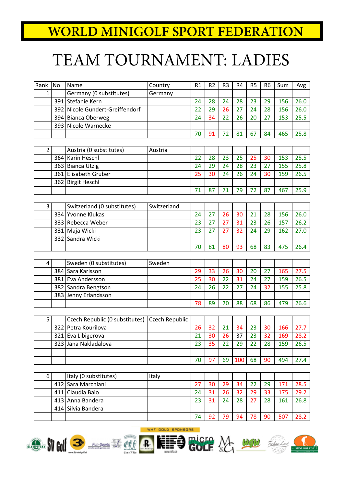# TEAM TOURNAMENT: LADIES

| Rank            | No  | Name                           | Country        | R1 | R <sub>2</sub> | R <sub>3</sub> | R <sub>4</sub> | R <sub>5</sub> | R <sub>6</sub> | Sum | Avg  |
|-----------------|-----|--------------------------------|----------------|----|----------------|----------------|----------------|----------------|----------------|-----|------|
| $\mathbf{1}$    |     | Germany (0 substitutes)        | Germany        |    |                |                |                |                |                |     |      |
|                 | 391 | Stefanie Kern                  |                | 24 | 28             | 24             | 28             | 23             | 29             | 156 | 26.0 |
|                 | 392 | Nicole Gundert-Greiffendorf    |                | 22 | 29             | 26             | 27             | 24             | 28             | 156 | 26.0 |
|                 | 394 | Bianca Oberweg                 |                | 24 | 34             | 22             | 26             | 20             | 27             | 153 | 25.5 |
|                 | 393 | Nicole Warnecke                |                |    |                |                |                |                |                |     |      |
|                 |     |                                |                | 70 | 91             | 72             | 81             | 67             | 84             | 465 | 25.8 |
|                 |     |                                |                |    |                |                |                |                |                |     |      |
| $\overline{2}$  |     | Austria (0 substitutes)        | Austria        |    |                |                |                |                |                |     |      |
|                 | 364 | Karin Heschl                   |                | 22 | 28             | 23             | 25             | 25             | 30             | 153 | 25.5 |
|                 |     | 363 Bianca Utzig               |                | 24 | 29             | 24             | 28             | 23             | 27             | 155 | 25.8 |
|                 |     | 361 Elisabeth Gruber           |                | 25 | 30             | 24             | 26             | 24             | 30             | 159 | 26.5 |
|                 |     | 362 Birgit Heschl              |                |    |                |                |                |                |                |     |      |
|                 |     |                                |                | 71 | 87             | 71             | 79             | 72             | 87             | 467 | 25.9 |
|                 |     |                                |                |    |                |                |                |                |                |     |      |
| 3 <sup>1</sup>  |     | Switzerland (0 substitutes)    | Switzerland    |    |                |                |                |                |                |     |      |
|                 | 334 | Yvonne Klukas                  |                | 24 | 27             | 26             | 30             | 21             | 28             | 156 | 26.0 |
|                 |     | 333 Rebecca Weber              |                | 23 | 27             | 27             | 31             | 23             | 26             | 157 | 26.2 |
|                 |     | 331 Maja Wicki                 |                | 23 | 27             | 27             | 32             | 24             | 29             | 162 | 27.0 |
|                 | 332 | Sandra Wicki                   |                |    |                |                |                |                |                |     |      |
|                 |     |                                |                | 70 | 81             | 80             | 93             | 68             | 83             | 475 | 26.4 |
|                 |     |                                |                |    |                |                |                |                |                |     |      |
| $\vert 4 \vert$ |     | Sweden (0 substitutes)         | Sweden         |    |                |                |                |                |                |     |      |
|                 | 384 | Sara Karlsson                  |                | 29 | 33             | 26             | 30             | 20             | 27             | 165 | 27.5 |
|                 |     | 381 Eva Andersson              |                | 25 | 30             | 22             | 31             | 24             | 27             | 159 | 26.5 |
|                 |     | 382 Sandra Bengtson            |                | 24 | 26             | 22             | 27             | 24             | 32             | 155 | 25.8 |
|                 | 383 | Jenny Erlandsson               |                |    |                |                |                |                |                |     |      |
|                 |     |                                |                | 78 | 89             | 70             | 88             | 68             | 86             | 479 | 26.6 |
|                 |     |                                |                |    |                |                |                |                |                |     |      |
| 5 <sub>l</sub>  |     | Czech Republic (0 substitutes) | Czech Republic |    |                |                |                |                |                |     |      |
|                 | 322 | Petra Kourilova                |                | 26 | 32             | 21             | 34             | 23             | 30             | 166 | 27.7 |
|                 |     | 321 Eva Libigerova             |                | 21 | 30             | 26             | 37             | 23             | 32             | 169 | 28.2 |
|                 |     | 323 Jana Nakladalova           |                | 23 | 35             | 22             | 29             | 22             | 28             | 159 | 26.5 |
|                 |     |                                |                |    |                |                |                |                |                |     |      |
|                 |     |                                |                | 70 | 97             | 69             | 100            | 68             | 90             | 494 | 27.4 |
|                 |     |                                |                |    |                |                |                |                |                |     |      |
| 6 <sup>1</sup>  |     | Italy (0 substitutes)          | Italy          |    |                |                |                |                |                |     |      |
|                 | 412 | Sara Marchiani                 |                | 27 | 30             | 29             | 34             | 22             | 29             | 171 | 28.5 |
|                 | 411 | Claudia Baio                   |                | 24 | 31             | 26             | 32             | 29             | 33             | 175 | 29.2 |
|                 |     | 413 Anna Bandera               |                | 23 | 31             | 24             | 28             | 27             | 28             | 161 | 26.8 |
|                 | 414 | Silvia Bandera                 |                |    |                |                |                |                |                |     |      |
|                 |     |                                |                | 74 | 92             | 79             | 94             | 78             | 90             | 507 | 28.2 |

REFIGURED NOT MANAGEMENT







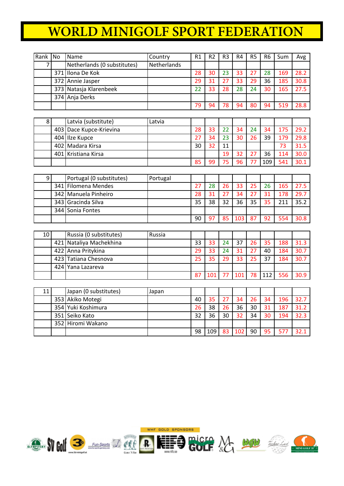| Rank           | <b>No</b> | Name                        | Country     | R1 | R <sub>2</sub> | R <sub>3</sub>  | R <sub>4</sub>  | R <sub>5</sub> | R <sub>6</sub> | Sum | Avg  |
|----------------|-----------|-----------------------------|-------------|----|----------------|-----------------|-----------------|----------------|----------------|-----|------|
| $\overline{7}$ |           | Netherlands (0 substitutes) | Netherlands |    |                |                 |                 |                |                |     |      |
|                |           | 371 Ilona De Kok            |             | 28 | 30             | $\overline{23}$ | 33              | 27             | 28             | 169 | 28.2 |
|                |           | 372 Annie Jasper            |             | 29 | 31             | 27              | 33              | 29             | 36             | 185 | 30.8 |
|                |           | 373 Natasja Klarenbeek      |             | 22 | 33             | 28              | 28              | 24             | 30             | 165 | 27.5 |
|                |           | 374 Anja Derks              |             |    |                |                 |                 |                |                |     |      |
|                |           |                             |             | 79 | 94             | 78              | 94              | 80             | 94             | 519 | 28.8 |
|                |           |                             |             |    |                |                 |                 |                |                |     |      |
| 8              |           | Latvia (substitute)         | Latvia      |    |                |                 |                 |                |                |     |      |
|                |           | 403 Dace Kupce-Krievina     |             | 28 | 33             | 22              | 34              | 24             | 34             | 175 | 29.2 |
|                |           | 404 Ilze Kupce              |             | 27 | 34             | 23              | 30              | 26             | 39             | 179 | 29.8 |
|                |           | 402 Madara Kirsa            |             | 30 | 32             | 11              |                 |                |                | 73  | 31.5 |
|                |           | 401 Kristiana Kirsa         |             |    |                | 19              | 32              | 27             | 36             | 114 | 30.0 |
|                |           |                             |             | 85 | 99             | $\overline{75}$ | $\overline{96}$ | 77             | 109            | 541 | 30.1 |
|                |           |                             |             |    |                |                 |                 |                |                |     |      |
| 9              |           | Portugal (0 substitutes)    | Portugal    |    |                |                 |                 |                |                |     |      |
|                |           | 341 Filomena Mendes         |             | 27 | 28             | 26              | 33              | 25             | 26             | 165 | 27.5 |
|                |           | 342 Manuela Pinheiro        |             | 28 | 31             | 27              | 34              | 27             | 31             | 178 | 29.7 |
|                | 343       | Gracinda Silva              |             | 35 | 38             | 32              | 36              | 35             | 35             | 211 | 35.2 |
|                |           | 344   Sonia Fontes          |             |    |                |                 |                 |                |                |     |      |
|                |           |                             |             | 90 | 97             | 85              | 103             | 87             | 92             | 554 | 30.8 |
|                |           |                             |             |    |                |                 |                 |                |                |     |      |
| 10             |           | Russia (0 substitutes)      | Russia      |    |                |                 |                 |                |                |     |      |
|                |           | 421 Nataliya Machekhina     |             | 33 | 33             | 24              | 37              | 26             | 35             | 188 | 31.3 |
|                |           | 422 Anna Pritykina          |             | 29 | 33             | 24              | 31              | 27             | 40             | 184 | 30.7 |
|                |           | 423 Tatiana Chesnova        |             | 25 | 35             | 29              | 33              | 25             | 37             | 184 | 30.7 |
|                | 424       | Yana Lazareva               |             |    |                |                 |                 |                |                |     |      |
|                |           |                             |             | 87 | 101            | 77              | 101             | 78             | 112            | 556 | 30.9 |
|                |           |                             |             |    |                |                 |                 |                |                |     |      |
| 11             |           | Japan (0 substitutes)       | Japan       |    |                |                 |                 |                |                |     |      |
|                |           | 353 Akiko Motegi            |             | 40 | 35             | 27              | 34              | 26             | 34             | 196 | 32.7 |
|                |           | 354 Yuki Koshimura          |             | 26 | 38             | 26              | 36              | 30             | 31             | 187 | 31.2 |
|                |           | 351 Seiko Kato              |             | 32 | 36             | 30              | 32              | 34             | 30             | 194 | 32.3 |
|                |           | 352 Hiromi Wakano           |             |    |                |                 |                 |                |                |     |      |
|                |           |                             |             | 98 | 109            | 83              | 102             | 90             | 95             | 577 | 32.1 |









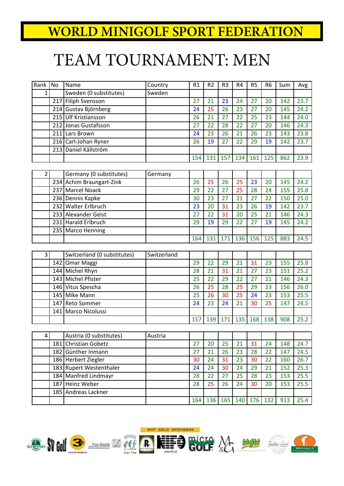# TEAM TOURNAMENT: MEN

| Rank           | <b>No</b> | Name                        | Country     | R1  | R <sub>2</sub> | R <sub>3</sub> | R4  | R <sub>5</sub> | R <sub>6</sub> | Sum | Avg  |
|----------------|-----------|-----------------------------|-------------|-----|----------------|----------------|-----|----------------|----------------|-----|------|
| 1              |           | Sweden (0 substitutes)      | Sweden      |     |                |                |     |                |                |     |      |
|                |           | 217 Filiph Svensson         |             | 27  | 21             | 23             | 24  | 27             | 20             | 142 | 23.7 |
|                |           | 214 Gustav Björnberg        |             | 24  | 25             | 26             | 23  | 27             | 20             | 145 | 24.2 |
|                | 215       | <b>Ulf Kristiansson</b>     |             | 26  | 21             | 27             | 22  | 25             | 23             | 144 | 24.0 |
|                |           | 212 Jonas Gustafsson        |             | 27  | 22             | 28             | 22  | 27             | 20             | 146 | 24.3 |
|                |           | 211 Lars Brown              |             | 24  | 23             | 26             | 21  | 26             | 23             | 143 | 23.8 |
|                |           | 216 Carl-Johan Ryner        |             | 26  | 19             | 27             | 22  | 29             | 19             | 142 | 23.7 |
|                |           | 213 Daniel Källström        |             |     |                |                |     |                |                |     |      |
|                |           |                             |             | 154 | 131            | 157            | 134 | 161            | 125            | 862 | 23.9 |
|                |           |                             |             |     |                |                |     |                |                |     |      |
| $\overline{2}$ |           | Germany (0 substitutes)     | Germany     |     |                |                |     |                |                |     |      |
|                |           | 234 Achim Braungart-Zink    |             | 26  | 25             | 26             | 25  | 23             | 20             | 145 | 24.2 |
|                |           | 237 Marcel Noack            |             | 29  | 22             | 27             | 25  | 28             | 24             | 155 | 25.8 |
|                |           | 236 Dennis Kapke            |             | 30  | 23             | 27             | 21  | 27             | 22             | 150 | 25.0 |
|                |           | 232 Walter Erlbruch         |             | 23  | 20             | 31             | 23  | 26             | 19             | 142 | 23.7 |
|                |           | 233 Alexander Geist         |             | 27  | 22             | 31             | 20  | 25             | 21             | 146 | 24.3 |
|                |           | 231 Harald Erlbruch         |             | 29  | 19             | 29             | 22  | 27             | 19             | 145 | 24.2 |
|                |           | 235   Marco Henning         |             |     |                |                |     |                |                |     |      |
|                |           |                             |             | 164 | 131            | 171            | 136 | 156            | 125            | 883 | 24.5 |
|                |           |                             |             |     |                |                |     |                |                |     |      |
| 3              |           | Switzerland (0 substitutes) | Switzerland |     |                |                |     |                |                |     |      |
|                |           | 142 Omar Maggi              |             | 29  | 22             | 29             | 21  | 31             | 23             | 155 | 25.8 |
|                |           | 144 Michel Rhyn             |             | 28  | 21             | 31             | 21  | 27             | 23             | 151 | 25.2 |
|                |           | 143 Michel Pfister          |             | 25  | 22             | 29             | 22  | 27             | 21             | 146 | 24.3 |
|                |           | 146 Vitus Spescha           |             | 26  | 25             | 28             | 25  | 29             | 23             | 156 | 26.0 |
|                |           | 145 Mike Mann               |             | 25  | 26             | 30             | 25  | 24             | 23             | 153 | 25.5 |
|                |           | 147 Reto Sommer             |             | 24  | 23             | 24             | 21  | 30             | 25             | 147 | 24.5 |
|                | 141       | Marco Nicolussi             |             |     |                |                |     |                |                |     |      |
|                |           |                             |             | 157 | 139            | 171            | 135 | 168            | 138            | 908 | 25.2 |
|                |           |                             |             |     |                |                |     |                |                |     |      |
| 4              |           | Austria (0 substitutes)     | Austria     |     |                |                |     |                |                |     |      |
|                |           | 181 Christian Gobetz        |             | 27  | 20             | 25             | 21  | 31             | 24             | 148 | 24.7 |
|                |           | 182 Günther Inmann          |             | 27  | 21             | 26             | 23  | 28             | 22             | 147 | 24.5 |
|                |           | 186 Herbert Ziegler         |             | 30  | 24             | 31             | 23  | 30             | 22             | 160 | 26.7 |
|                |           | 183 Rupert Westenthaler     |             | 24  | 24             | 30             | 24  | 29             | 21             | 152 | 25.3 |
|                |           | 184 Manfred Lindmayr        |             | 28  | 22             | 27             | 25  | 28             | 23             | 153 | 25.5 |
|                |           | 187 Heinz Weber             |             | 28  | 25             | 26             | 24  | 30             | 20             | 153 | 25.5 |
|                |           | 185 Andreas Lackner         |             |     |                |                |     |                |                |     |      |









136 165 140 176 132 913 25.4

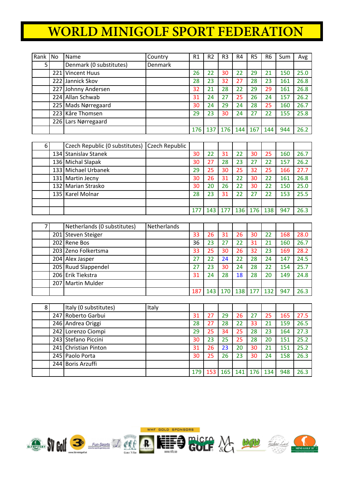| Rank | l No | Name                    | Country        | R1  | R <sub>2</sub> | R <sub>3</sub> | R4  | R <sub>5</sub> | R <sub>6</sub> | Sum | Avg  |
|------|------|-------------------------|----------------|-----|----------------|----------------|-----|----------------|----------------|-----|------|
|      |      | Denmark (0 substitutes) | <b>Denmark</b> |     |                |                |     |                |                |     |      |
|      |      | 221 Vincent Huus        |                | 26  | 22             | 30             | 22  | 29             | 21             | 150 | 25.0 |
|      |      | 222 Jannick Skov        |                | 28  | 23             | 32             | 27  | 28             | 23             | 161 | 26.8 |
|      |      | 227 Johnny Andersen     |                | 32  | 21             | 28             | 22  | 29             | 29             | 161 | 26.8 |
|      |      | 224 Allan Schwab        |                | 31  | 24             | 27             | 25  | 26             | 24             | 157 | 26.2 |
|      |      | 225 Mads Nørregaard     |                | 30  | 24             | 29             | 24  | 28             | 25             | 160 | 26.7 |
|      |      | 223 Kåre Thomsen        |                | 29  | 23             | 30             | 24  |                | 22             | 155 | 25.8 |
|      |      | 226 Lars Nørregaard     |                |     |                |                |     |                |                |     |      |
|      |      |                         |                | 176 | 137            | 176            | 144 | 167            | 144            | 944 | 26.2 |

| 6 | Czech Republic (0 substitutes) Czech Republic |     |     |     |     |     |     |     |      |
|---|-----------------------------------------------|-----|-----|-----|-----|-----|-----|-----|------|
|   | 134 Stanislav Stanek                          | 30  | 22  | 31  | 22  | 30  | 25  | 160 | 26.7 |
|   | 136 Michal Slapak                             | 30  | 27  | 28  | 23  |     | 22  | 157 | 26.2 |
|   | 133 Michael Urbanek                           | 29  | 25  | 30  | 25  | 32  | 25  | 166 | 27.7 |
|   | 131 Martin Jecny                              | 30  | 26  | 31  | 22  | 30  | 22  | 161 | 26.8 |
|   | 132 Marian Strasko                            | 30  | 20  | 26  | 22  | 30  | 22  | 150 | 25.0 |
|   | 135 Karel Molnar                              | 28  | 23  | 31  | 22  |     | 22  | 153 | 25.5 |
|   |                                               |     |     |     |     |     |     |     |      |
|   |                                               | 177 | 143 | 177 | 136 | 176 | 138 | 947 | 26.3 |

|  | Netherlands (0 substitutes) | Netherlands |     |     |     |     |     |     |     |      |
|--|-----------------------------|-------------|-----|-----|-----|-----|-----|-----|-----|------|
|  | 201 Steven Steiger          |             | 33  | 26  | 31  | 26  | 30  | 22  | 168 | 28.0 |
|  | 202 Rene Bos                |             | 36  | 23  | 27  | 22  | 31  | 21  | 160 | 26.7 |
|  | 203 Zeno Folkertsma         |             | 33  | 25  | 30  | 26  | 32  | 23  | 169 | 28.2 |
|  | 204 Alex Jasper             |             | 27  | 22  | 24  | 22  | 28  | 24  | 147 | 24.5 |
|  | 205 Ruud Slappendel         |             | 27  | 23  | 30  | 24  | 28  |     | 154 | 25.7 |
|  | 206 Erik Tiekstra           |             | 31  | 24  | 28  | 18  | 28  | 20  | 149 | 24.8 |
|  | 207   Martin Mulder         |             |     |     |     |     |     |     |     |      |
|  |                             |             | 187 | 143 | 170 | 138 | 177 | 132 | 947 | 26.3 |

|  | Italy (0 substitutes) | Italy |     |     |     |     |     |     |     |      |
|--|-----------------------|-------|-----|-----|-----|-----|-----|-----|-----|------|
|  | 247 Roberto Garbui    |       | 31  | 27  | 29  | 26  | 27  | 25  | 165 | 27.5 |
|  | 246 Andrea Origgi     |       | 28  | 27  | 28  | 22  | 33  | 21  | 159 | 26.5 |
|  | 242 Lorenzo Ciompi    |       | 29  | 25  | 34  | 25  | 28  | 23  | 164 | 27.3 |
|  | 243 Stefano Piccini   |       | 30  | 23  | 25  | 25  | 28  | 20  | 151 | 25.2 |
|  | 241 Christian Pinton  |       | 31  | 26  | 23  | 20  | 30  | 21  | 151 | 25.2 |
|  | 245   Paolo Porta     |       | 30  | 25  | 26  | 23  | 30  | 24  | 158 | 26.3 |
|  | 244 Boris Arzuffi     |       |     |     |     |     |     |     |     |      |
|  |                       |       | 179 | 153 | 165 | 141 | 176 | 134 | 948 | 26.3 |





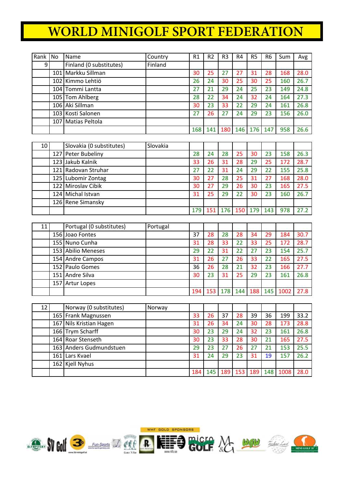| Rank | No               | Name                    | Country | R1  | R <sub>2</sub> | R <sub>3</sub> | R4  | R <sub>5</sub> | R <sub>6</sub> | Sum | Avg  |
|------|------------------|-------------------------|---------|-----|----------------|----------------|-----|----------------|----------------|-----|------|
| 9    |                  | Finland (0 substitutes) | Finland |     |                |                |     |                |                |     |      |
|      | 101 <sup>1</sup> | Markku Sillman          |         | 30  | 25             | 27             | 27  | 31             | 28             | 168 | 28.0 |
|      | 102 l            | Kimmo Lehtiö            |         | 26  | 24             | 30             | 25  | 30             | 25             | 160 | 26.7 |
|      |                  | 104 Tommi Lantta        |         | 27  | 21             | 29             | 24  | 25             | 23             | 149 | 24.8 |
|      |                  | 105 Tom Ahlberg         |         | 28  | 22             | 34             | 24  | 32             | 24             | 164 | 27.3 |
|      |                  | 106 Aki Sillman         |         | 30  | 23             | 33             | 22  | 29             | 24             | 161 | 26.8 |
|      |                  | 103 Kosti Salonen       |         | 27  | 26             | 27             | 24  | 29             | 23             | 156 | 26.0 |
|      | 107 I            | Matias Peltola          |         |     |                |                |     |                |                |     |      |
|      |                  |                         |         | 168 | 141            | 180            | 146 | 176            | 147            | 958 | 26.6 |

| 10 | Slovakia (0 substitutes) | Slovakia |     |     |    |             |    |     |     |      |
|----|--------------------------|----------|-----|-----|----|-------------|----|-----|-----|------|
|    | 127 Peter Bubeliny       |          | 28  | 24  | 28 | 25          | 30 | 23  | 158 | 26.3 |
|    | 123 Jakub Kalnik         |          | 33  | 26  | 31 | 28          | 29 | 25  | 172 | 28.7 |
|    | 121 Radovan Struhar      |          | 27  | 22  | 31 | 24          | 29 | 22  | 155 | 25.8 |
|    | 125 Lubomir Zontag       |          | 30  | 27  | 28 | 25          | 31 | 27  | 168 | 28.0 |
|    | 122 Miroslav Cibik       |          | 30  | 27  | 29 | 26          | 30 | 23  | 165 | 27.5 |
|    | 124 Michal Istvan        |          | 31  | 25  | 29 | 22          | 30 | 23  | 160 | 26.7 |
|    | 126 Rene Simansky        |          |     |     |    |             |    |     |     |      |
|    |                          |          | 179 | 151 |    | 176 150 179 |    | 143 | 978 | 27.2 |

| 11 | Portugal (0 substitutes) | Portugal |     |     |     |     |     |     |      |      |
|----|--------------------------|----------|-----|-----|-----|-----|-----|-----|------|------|
|    | 156 Joao Fontes          |          | 37  | 28  | 28  | 28  | 34  | 29  | 184  | 30.7 |
|    | 155 Nuno Cunha           |          | 31  | 28  | 33  | 22  | 33  | 25  | 172  | 28.7 |
|    | 153 Abilio Meneses       |          | 29  | 22  | 31  | 22  |     | 23  | 154  | 25.7 |
|    | 154 Andre Campos         |          | 31  | 26  | 27  | 26  | 33  | 22  | 165  | 27.5 |
|    | 152 Paulo Gomes          |          | 36  | 26  | 28  | 21  | 32  | 23  | 166  | 27.7 |
|    | 151 Andre Silva          |          | 30  | 23  | 31  | 25  | 29  | 23  | 161  | 26.8 |
|    | 157 Artur Lopes          |          |     |     |     |     |     |     |      |      |
|    |                          |          | 194 | 153 | 178 | 144 | 188 | 145 | 1002 | 27.8 |

| 12 | Norway (0 substitutes)  | Norway |     |     |     |     |     |     |      |      |
|----|-------------------------|--------|-----|-----|-----|-----|-----|-----|------|------|
|    | 165 Frank Magnussen     |        | 33  | 26  | 37  | 28  | 39  | 36  | 199  | 33.2 |
|    | 167 Nils Kristian Hagen |        | 31  | 26  | 34  | 24  | 30  | 28  | 173  | 28.8 |
|    | 166 Trym Scharff        |        | 30  | 23  | 29  | 24  | 32  | 23  | 161  | 26.8 |
|    | 164 Roar Stenseth       |        | 30  | 23  | 33  | 28  | 30  | 21  | 165  | 27.5 |
|    | 163 Anders Gudmundstuen |        | 29  | 23  |     | 26  |     |     | 153  | 25.5 |
|    | 161 Lars Kvael          |        | 31  | 24  | 29  | 23  | 31  | 19  | 157  | 26.2 |
|    | 162 Kjell Nyhus         |        |     |     |     |     |     |     |      |      |
|    |                         |        | 184 | 145 | 189 | 153 | 189 | 148 | 1008 | 28.0 |









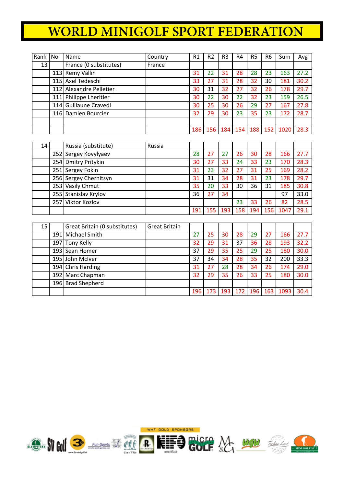| Rank | l No | Name                    | Country | R1  | R <sub>2</sub> | R <sub>3</sub> | R4  | R <sub>5</sub> | R <sub>6</sub> | Sum  | Avg  |
|------|------|-------------------------|---------|-----|----------------|----------------|-----|----------------|----------------|------|------|
| 13   |      | France (0 substitutes)  | France  |     |                |                |     |                |                |      |      |
|      |      | 113 Remy Vallin         |         | 31  | 22             | 31             | 28  | 28             | 23             | 163  | 27.2 |
|      |      | 115 Axel Tedeschi       |         | 33  | 27             | 31             | 28  | 32             | 30             | 181  | 30.2 |
|      |      | 112 Alexandre Pelletier |         | 30  | 31             | 32             | 27  | 32             | 26             | 178  | 29.7 |
|      |      | 111 Philippe Lheritier  |         | 30  | 22             | 30             | 22  | 32             | 23             | 159  | 26.5 |
|      |      | 114 Guillaune Cravedi   |         | 30  | 25             | 30             | 26  | 29             | 27             | 167  | 27.8 |
|      |      | 116 Damien Bourcier     |         | 32  | 29             | 30             | 23  | 35             | 23             | 172  | 28.7 |
|      |      |                         |         |     |                |                |     |                |                |      |      |
|      |      |                         |         | 186 | 156            | 184            | 154 | 188            | 152            | 1020 | 28.3 |

| 14 | Russia (substitute)   | Russia |     |     |     |     |     |     |      |      |
|----|-----------------------|--------|-----|-----|-----|-----|-----|-----|------|------|
|    | 252 Sergey Kovylyaev  |        | 28  | 27  | 27  | 26  | 30  | 28  | 166  | 27.7 |
|    | 254 Dmitry Pritykin   |        | 30  | 27  | 33  | 24  | 33  | 23  | 170  | 28.3 |
|    | 251 Sergey Fokin      |        | 31  | 23  | 32  | 27  | 31  | 25  | 169  | 28.2 |
|    | 256 Sergey Chernitsyn |        | 31  | 31  | 34  | 28  | 31  | 23  | 178  | 29.7 |
|    | 253 Vasily Chmut      |        | 35  | 20  | 33  | 30  | 36  | 31  | 185  | 30.8 |
|    | 255 Stanislav Krylov  |        | 36  | 27  | 34  |     |     |     | 97   | 33.0 |
|    | 257 Viktor Kozlov     |        |     |     |     | 23  | 33  | 26  | 82   | 28.5 |
|    |                       |        | 191 | 155 | 193 | 158 | 194 | 156 | 1047 | 29.1 |

| 15 |       | Great Britain (0 substitutes) | Great Britain |     |     |     |     |     |     |      |      |
|----|-------|-------------------------------|---------------|-----|-----|-----|-----|-----|-----|------|------|
|    | 191 l | Michael Smith                 |               | 27  | 25  | 30  | 28  | 29  | 27  | 166  | 27.7 |
|    |       | 197 Tony Kelly                |               | 32  | 29  | 31  | 37  | 36  | 28  | 193  | 32.2 |
|    |       | 193 Sean Homer                |               | 37  | 29  | 35  | 25  | 29  | 25  | 180  | 30.0 |
|    |       | 195 John McIver               |               | 37  | 34  | 34  | 28  | 35  | 32  | 200  | 33.3 |
|    |       | 194 Chris Harding             |               | 31  | 27  | 28  | 28  | 34  | 26  | 174  | 29.0 |
|    |       | 192 Marc Chapman              |               | 32  | 29  | 35  | 26  | 33  | 25  | 180  | 30.0 |
|    |       | 196 Brad Shepherd             |               |     |     |     |     |     |     |      |      |
|    |       |                               |               | 196 | 173 | 193 | 172 | 196 | 163 | 1093 | 30.4 |

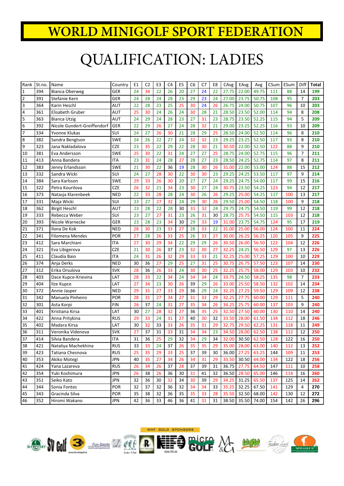### QUALIFICATION: LADIES

| Rank           | St.no. | Name                        | Country    | E1 | C <sub>2</sub> | E <sub>3</sub> | C <sub>4</sub> | E <sub>5</sub> | C <sub>6</sub> | C7 | E8 | CAvg  | EAvg  | Avg         | CSum | ESum | Diff           | Total |
|----------------|--------|-----------------------------|------------|----|----------------|----------------|----------------|----------------|----------------|----|----|-------|-------|-------------|------|------|----------------|-------|
| $\mathbf 1$    | 394    | <b>Bianca Oberweg</b>       | <b>GER</b> | 24 | 34             | 22             | 26             | 20             | 27             | 24 | 22 | 27.75 | 22.00 | 49.75       | 111  | 88   | 14             | 199   |
| $\mathbf 2$    | 391    | Stefanie Kern               | GER        | 24 | 28             | 24             | 28             | 23             | 29             | 23 | 24 | 27.00 | 23.75 | 50.75       | 108  | 95   | 7              | 203   |
| $\mathsf 3$    | 364    | Karin Heschl                | AUT        | 22 | 28             | 23             | 25             | 25             | 30             | 24 | 26 | 26.75 | 24.00 | 50.75       | 107  | 96   | 10             | 203   |
| $\overline{4}$ | 361    | Elisabeth Gruber            | AUT        | 25 | 30             | 24             | 26             | 24             | 30             | 28 | 21 | 28.50 | 23.50 | 52.00       | 114  | 94   | 8              | 208   |
| 5              | 363    | <b>Bianca Utzig</b>         | AUT        | 24 | 29             | 24             | 28             | 23             | 27             | 31 | 23 | 28.75 | 23.50 | 52.25       | 115  | 94   | 5              | 209   |
| 6              | 392    | Nicole Gundert-Greiffendorf | <b>GER</b> | 22 | 29             | 26             | 27             | 24             | 28             | 32 | 21 | 29.00 | 23.25 | 52.25       | 116  | 93   | 10             | 209   |
| $\overline{7}$ | 334    | Yvonne Klukas               | SUI        | 24 | 27             | 26             | 30             | 21             | 28             | 29 | 25 | 28.50 | 24.00 | 52.50       | 114  | 96   | 8              | 210   |
| 8              | 382    | Sandra Bengtson             | <b>SWE</b> | 24 | 26             | 22             | 27             | 24             | 32             | 32 | 23 | 29.25 | 23.25 | 52.50       | 117  | 93   | 8              | 210   |
| 9              | 323    | Jana Nakladalova            | <b>CZE</b> | 23 | 35             | 22             | 29             | 22             | 28             | 30 | 21 | 30.50 | 22.00 | 52.50       | 122  | 88   | 9              | 210   |
| 10             | 381    | Eva Andersson               | <b>SWE</b> | 25 | 30             | 22             | 31             | 24             | 27             | 27 | 25 | 28.75 | 24.00 | 52.75       | 115  | 96   | 7              | 211   |
| 11             | 413    | Anna Bandera                | <b>ITA</b> | 23 | 31             | 24             | 28             | 27             | 28             | 27 | 23 | 28.50 | 24.25 | 52.75       | 114  | 97   | 8              | 211   |
| 12             | 383    | Jenny Erlandsson            | <b>SWE</b> | 21 | 30             | 22             | 36             | 19             | 28             | 30 | 26 | 31.00 | 22.00 | 53.00       | 124  | 88   | 15             | 212   |
| 13             | 332    | Sandra Wicki                | SUI        | 24 | 27             | 28             | 30             | 22             | 30             | 30 | 23 | 29.25 | 24.25 | 53.50       | 117  | 97   | 9              | 214   |
| 14             | 384    | Sara Karlsson               | <b>SWE</b> | 29 | 33             | 26             | 30             | 20             | 27             | 27 | 24 | 29.25 | 24.75 | 54.00       | 117  | 99   | 15             | 216   |
| 15             | 322    | Petra Kourilova             | <b>CZE</b> | 26 | 32             | 21             | 34             | 23             | 30             | 27 | 24 | 30.75 | 23.50 | 54.25       | 123  | 94   | 12             | 217   |
| 16             | 373    | Natasja Klarenbeek          | <b>NED</b> | 22 | 33             | 28             | 28             | 24             | 30             | 26 | 26 | 29.25 | 25.00 | 54.25       | 117  | 100  | 13             | 217   |
| 17             | 331    | Maja Wicki                  | SUI        | 23 | 27             | 27             | 32             | 24             | 29             | 30 | 26 | 29.50 | 25.00 | 54.50       | 118  | 100  | 9              | 218   |
| 18             | 362    | <b>Birgit Heschl</b>        | AUT        | 23 | 28             | 22             | 28             | 30             | 31             | 32 | 24 | 29.75 | 24.75 | 54.50       | 119  | 99   | 12             | 218   |
| 19             | 333    | Rebecca Weber               | SUI        | 23 | 27             | 27             | 31             | 23             | 26             | 31 | 30 | 28.75 | 25.75 | 54.50       | 115  | 103  | 12             | 218   |
| 20             | 393    | Nicole Warnecke             | GER        | 23 | 28             | 23             | 34             | 30             | 29             | 33 | 19 | 31.00 | 23.75 | 54.75       | 124  | 95   | 17             | 219   |
| 21             | 371    | Ilona De Kok                | <b>NED</b> | 28 | 30             | 23             | 33             | 27             | 28             | 33 | 22 | 31.00 | 25.00 | 56.00       | 124  | 100  | 11             | 224   |
| 22             | 341    | <b>Filomena Mendes</b>      | POR        | 27 | 28             | 26             | 33             | 25             | 26             | 33 | 27 | 30.00 | 26.25 | 56.25       | 120  | 105  | 9              | 225   |
| 23             | 412    | Sara Marchiani              | <b>ITA</b> | 27 | 30             | 29             | 34             | 22             | 29             | 29 | 26 | 30.50 | 26.00 | 56.50       | 122  | 104  | 12             | 226   |
| 24             | 321    | Eva Libigerova              | <b>CZE</b> | 21 | 30             | 26             | 37             | 23             | 32             | 30 | 27 | 32.25 | 24.25 | 56.50       | 129  | 97   | 13             | 226   |
| 25             | 411    | Claudia Baio                | <b>ITA</b> | 24 | 31             | 26             | 32             | 29             | 33             | 33 | 21 | 32.25 | 25.00 | 57.25       | 129  | 100  | 10             | 229   |
| 26             | 374    | Anja Derks                  | <b>NED</b> | 30 | 36             | 27             | 29             | 25             | 27             | 31 | 25 | 30.75 | 26.75 | 57.50       | 123  | 107  | 14             | 230   |
| 27             | 312    | Erika Orsulova              | <b>SVK</b> | 28 | 36             | 26             | 33             | 24             | 30             | 30 | 25 | 32.25 | 25.75 | 58.00       | 129  | 103  | 10             | 232   |
| 28             | 403    | Dace Kupce-Krievina         | LAT        | 28 | 33             | 22             | 34             | 24             | 34             | 34 | 24 | 33.75 | 24.50 | 58.25       | 135  | 98   | $\overline{7}$ | 233   |
| 29             | 404    | Ilze Kupce                  | LAT        | 27 | 34             | 23             | 30             | 26             | 39             | 29 | 26 | 33.00 | 25.50 | 58.50       | 132  | 102  | 14             | 234   |
| 30             | 372    | Annie Jasper                | <b>NED</b> | 29 | 31             | 27             | 33             | 29             | 36             | 29 | 24 | 32.25 | 27.25 | 59.50       | 129  | 109  | 12             | 238   |
| 31             | 342    | Manuela Pinheiro            | POR        | 28 | 31             | 27             | 34             | 27             | 31             | 33 | 29 | 32.25 | 27.75 | 60.00       | 129  | 111  | 5              | 240   |
| 32             | 301    | Asta Korpi                  | <b>FIN</b> | 26 | 37             | 24             | 31             | 27             | 35             | 34 | 26 | 34.25 | 25.75 | 60.00       | 137  | 103  | 9              | 240   |
| 33             | 401    | Kristiana Kirsa             | LAT        | 30 | 27             | 28             | 32             | 27             | 36             | 35 | 25 | 32.50 | 27.50 | 60.00       | 130  | 110  | 14             | 240   |
| 34             | 422    | Anna Pritykina              | <b>RUS</b> | 29 | 33             | 24             | 31             | 27             | 40             | 30 | 32 | 33.50 | 28.00 | 61.50       | 134  | 112  | 18             | 246   |
| 35             | 402    | Madara Kirsa                | LAT        | 30 | 32             | 33             | 33             | 26             | 35             | 31 | 29 | 32.75 | 29.50 | 62.25       | 131  | 118  | 11             | 249   |
| 36             | 311    | Veronika Videnova           | <b>SVK</b> | 27 | 37             | 31             | 33             | 31             | 34             | 34 | 23 | 34.50 | 28.00 | 62.50       | 138  | 112  | 12             | 250   |
| 37             | 414    | Silvia Bandera              | <b>ITA</b> | 31 | 36             | 25             | 29             | 32             | 34             | 29 | 34 | 32.00 | 30.50 | 62.50       | 128  | 122  | 16             | 250   |
| 38             | 421    | Nataliya Machekhina         | <b>RUS</b> | 33 | 33             | 24             | 37             | 26             | 35             | 35 | 29 | 35.00 | 28.00 | 63.00       | 140  | 112  | 13             | 252   |
| 39             | 423    | Tatiana Chesnova            | <b>RUS</b> | 25 | 35             | 29             | 33             | 25             | 37             | 39 | 30 | 36.00 | 27.25 | 63.25       | 144  | 109  | 11             | 253   |
| 40             | 353    | Akiko Motegi                | <b>JPN</b> | 40 | 35             | 27             | 34             | 26             | 34             | 31 | 29 | 33.50 |       | 30.50 64.00 | 134  | 122  | 18             | 256   |
| 41             | 424    | Yana Lazareva               | <b>RUS</b> | 26 | 34             | 26             | 37             | 28             | 37             | 39 | 31 | 36.75 | 27.75 | 64.50       | 147  | 111  | 10             | 258   |
| 42             | 354    | Yuki Koshimura              | <b>JPN</b> | 26 | 38             | 26             | 36             | 30             | 31             | 41 | 32 | 36.50 | 28.50 | 65.00       | 146  | 114  | 16             | 260   |
| 43             | 351    | Seiko Kato                  | <b>JPN</b> | 32 | 36             | 30             | 32             | 34             | 30             | 39 | 29 | 34.25 | 31.25 | 65.50       | 137  | 125  | 14             | 262   |
| 44             | 344    | Sonia Fontes                | POR        | 32 | 37             | 32             | 36             | 32             | 34             | 34 | 33 | 35.25 | 32.25 | 67.50       | 141  | 129  | 4              | 270   |
| 45             | 343    | Gracinda Silva              | POR        | 35 | 38             | 32             | 36             | 35             | 35             | 33 | 28 | 35.50 | 32.50 | 68.00       | 142  | 130  | 12             | 272   |
| 46             | 352    | Hiromi Wakano               | <b>JPN</b> | 42 | 36             | 33             | 46             | 36             | 41             | 31 | 31 | 38.50 | 35.50 | 74.00       | 154  | 142  | 26             | 296   |









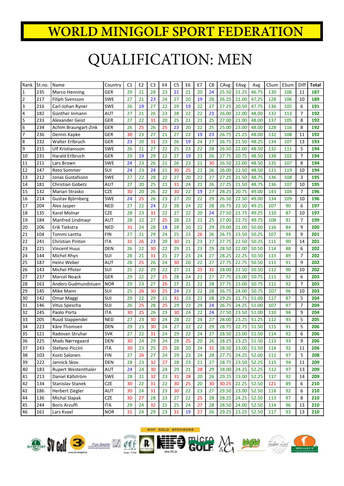### QUALIFICATION: MEN

| Rank         | St.no. | Name                  | Country    | C <sub>1</sub> | E <sub>2</sub> | C <sub>3</sub> | E4 | C <sub>5</sub> | E <sub>6</sub> | E7 | C <sub>8</sub> | CAvg  | EAvg              | Avg         | CSum | ESum | Diff           | Total |
|--------------|--------|-----------------------|------------|----------------|----------------|----------------|----|----------------|----------------|----|----------------|-------|-------------------|-------------|------|------|----------------|-------|
| $\mathbf{1}$ | 235    | Marco Henning         | GER        | 29             | 21             | 28             | 23 | 21             | 21             | 20 | 24             | 25.50 | 21.25             | 46.75       | 130  | 106  | 11             | 187   |
| $\mathbf 2$  | 217    | Filiph Svensson       | SWE        | 27             | 21             | 23             | 24 | 27             | 20             | 19 | 28             | 26.25 | 21.00             | 47.25       | 128  | 106  | 10             | 189   |
| 3            | 216    | Carl-Johan Ryner      | <b>SWE</b> | 26             | 19             | 27             | 22 | 29             | 19             | 22 | 27             | 27.25 | 20.50             | 47.75       | 136  | 105  | 6              | 191   |
| 4            | 182    | Günther Inmann        | AUT        | 27             | 21             | 26             | 23 | 28             | 22             | 22 | 23             | 26.00 | 22.00             | 48.00       | 132  | 113  | 7              | 192   |
| 5            | 233    | Alexander Geist       | GER        | 27             | 22             | 31             | 20 | 25             | 21             | 21 | 25             | 27.00 | 21.00             | 48.00       | 137  | 105  | 8              | 192   |
| 6            | 234    | Achim Braungart-Zink  | GER        | 26             | 25             | 26             | 25 | 23             | 20             | 22 | 25             | 25.00 | 23.00             | 48.00       | 128  | 116  | 8              | 192   |
| 7            | 236    | Dennis Kapke          | GER        | 30             | 23             | 27             | 21 | 27             | 22             | 19 | 23             | 26.75 | 21.25             | 48.00       | 132  | 108  | 11             | 192   |
| 8            | 232    | Walter Erlbruch       | GER        | 23             | 20             | 31             | 23 | 26             | 19             | 24 | 27             | 26.75 | 21.50             | 48.25       | 134  | 107  | 13             | 193   |
| 9            | 215    | Ulf Kristiansson      | <b>SWE</b> | 26             | 21             | 27             | 22 | 25             | 23             | 22 | 28             | 26.50 | 22.00             | 48.50       | 132  | 111  | 5              | 194   |
| 10           | 231    | Harald Erlbruch       | GER        | 29             | 19             | 29             | 22 | 27             | 19             | 23 | 26             | 27.75 | 20.75             | 48.50       | 138  | 102  | $\overline{7}$ | 194   |
| 11           | 211    | Lars Brown            | SWE        | 24             | 23             | 26             | 21 | 26             | 23             | 21 | 30             | 26.50 | 22.00             | 48.50       | 135  | 107  | 8              | 194   |
| 12           | 147    | <b>Reto Sommer</b>    | SUI        | 24             | 23             | 24             | 21 | 30             | 25             | 21 | 26             | 26.00 | 22.50             | 48.50       | 131  | 119  | 10             | 194   |
| 13           | 212    | Jonas Gustafsson      | SWE        | 27             | 22             | 28             | 22 | 27             | 20             | 22 | 27             | 27.25 | 21.50             | 48.75       | 136  | 108  | 3              | 195   |
| 14           | 181    | Christian Gobetz      | <b>AUT</b> | 27             | 20             | 25             | 21 | 31             | 24             | 21 | 26             | 27.25 | 21.50             | 48.75       | 136  | 107  | 10             | 195   |
| 15           | 132    | Marian Strasko        | <b>CZE</b> | 30             | 20             | 26             | 22 | 30             | 22             | 19 | 27             | 28.25 | 20.75             | 49.00       | 143  | 104  | $\overline{7}$ | 196   |
| 16           | 214    | Gustav Björnberg      | SWE        | 24             | 25             | 26             | 23 | 27             | 20             | 22 | 29             | 26.50 | 22.50             | 49.00       | 134  | 109  | 10             | 196   |
| 17           | 204    | Alex Jasper           | <b>NED</b> | 27             | 22             | 24             | 22 | 28             | 24             | 22 | 28             | 26.75 | 22.50             | 49.25       | 107  | 90   | 6              | 197   |
| 18           | 135    | Karel Molnar          | <b>CZE</b> | 28             | 23             | 31             | 22 | 27             | 22             | 20 | 24             | 27.50 | 21.75             | 49.25       | 110  | 87   | 10             | 197   |
| 19           | 184    | Manfred Lindmayr      | AUT        | 28             | 22             | 27             | 25 | 28             | 23             | 21 | 25             | 27.00 | 22.75             | 49.75       | 108  | 91   | $\overline{7}$ | 199   |
| 20           | 206    | Erik Tiekstra         | <b>NED</b> | 31             | 24             | 28             | 18 | 28             | 20             | 22 | 29             | 29.00 | 21.00             | 50.00       | 116  | 84   | 9              | 200   |
| 21           | 104    | Tommi Lantta          | <b>FIN</b> | 27             | 21             | 29             | 24 | 25             | 23             | 26 | 26             | 26.75 | 23.50             | 50.25       | 107  | 94   | 9              | 201   |
| 22           | 241    | Christian Pinton      | ITA        | 31             | 26             | 23             | 20 | 30             | 21             | 23 | 27             | 27.75 | 22.50             | 50.25       | 111  | 90   | 14             | 201   |
| 23           | 221    | <b>Vincent Huus</b>   | <b>DEN</b> | 26             | 22             | 30             | 22 | 29             | 21             | 23 | 29             | 28.50 | 22.00             | 50.50       | 114  | 88   | 6              | 202   |
| 24           | 144    | Michel Rhyn           | SUI        | 28             | 21             | 31             | 21 | 27             | 23             | 24 | 27             | 28.25 | 22.25             | 50.50       | 113  | 89   | $\overline{7}$ | 202   |
| 25           | 187    | Heinz Weber           | AUT        | 28             | 25             | 26             | 24 | 30             | 20             | 22 | 27             | 27.75 | 22.75             | 50.50       | 111  | 91   | 9              | 202   |
| 26           | 143    | <b>Michel Pfister</b> | SUI        | 25             | 22             | 29             | 22 | 27             | 21             | 25 | 31             | 28.00 | 22.50             | 50.50       | 112  | 90   | 10             | 202   |
| 27           | 237    | Marcel Noack          | <b>GER</b> | 29             | 22             | 27             | 25 | 28             | 24             | 21 | 27             | 27.75 | 23.00             | 50.75       | 111  | 92   | 6              | 203   |
| 28           | 163    | Anders Gudmundstuen   | <b>NOR</b> | 29             | 23             | 27             | 26 | 27             | 21             | 22 | 28             | 27.75 | 23.00             | 50.75       | 111  | 92   | $\overline{7}$ | 203   |
| 29           | 145    | Mike Mann             | SUI        | 25             | 26             | 30             | 25 | 24             | 23             | 22 | 28             | 26.75 | 24.00             | 50.75       | 107  | 96   | 10             | 203   |
| 30           | 142    | Omar Maggi            | SUI        | 29             | 22             | 29             | 21 | 31             | 23             | 21 | 28             | 29.25 | 21.75             | 51.00       | 117  | 87   | 5              | 204   |
| 31           | 146    | Vitus Spescha         | SUI        | 26             | 25             | 28             | 25 | 29             | 23             | 24 | 24             | 26.75 | 24.25             | 51.00       | 107  | 97   | $\overline{7}$ | 204   |
| 32           | 245    | Paolo Porta           | <b>ITA</b> | 30             | 25             | 26             | 23 | 30             | 24             | 22 | 24             | 27.50 | 23.50             | 51.00       | 110  | 94   | 9              | 204   |
| 33           | 205    | Ruud Slappendel       | <b>NED</b> | 27             | 23             | 30             | 24 | 28             | 22             | 24 | 27             | 28.00 | 23.25             | 51.25       | 112  | 93   | 5              | 205   |
| 34           | 223    | Kåre Thomsen          | DEN        | 29             | 23             | 30             | 24 | 27             | 22             | 22 | 29             | 28.75 | 22.75             | 51.50       | 115  | 91   | 5              | 206   |
| 35           | 121    | Radovan Struhar       | <b>SVK</b> | 27             | 22             | 31             | 24 | 29             | 22             | 24 | 27             | 28.50 | 23.00             | 51.50       | 114  | 92   | 6              | 206   |
| 36           | 225    | Mads Nørregaard       | <b>DEN</b> | 30             | 24             | 29             | 24 | 28             | 25             | 20 | 26             |       | 28.25 23.25 51.50 |             | 113  | 93   | 9              | 206   |
| 37           | 243    | Stefano Piccini       | <b>ITA</b> | 30             | 23             | 25             | 25 | 28             | 20             | 24 | 31             |       | 28.50 23.00 51.50 |             | 114  | 92   | 11             | 206   |
| 38           | 103    | Kosti Salonen         | <b>FIN</b> | 27             | 26             | 27             | 24 | 29             | 23             | 24 | 28             |       | 27.75 24.25 52.00 |             | 111  | 97   | 5              | 208   |
| 39           | 222    | Jannick Skov          | <b>DEN</b> | 28             | 23             | 32             | 27 | 28             | 23             | 21 | 27             | 28.75 |                   | 23.50 52.25 | 115  | 94   | 11             | 209   |
| 40           | 183    | Rupert Westenthaler   | AUT        | 24             | 24             | 30             | 24 | 29             | 21             | 28 | 29             | 28.00 | 24.25             | 52.25       | 112  | 97   | 13             | 209   |
| 41           | 213    | Daniel Källström      | SWE        | 28             | 21             | 32             | 23 | 31             | 28             | 20 | 26             | 29.25 | 23.00             | 52.25       | 117  | 92   | 14             | 209   |
| 42           | 134    | Stanislav Stanek      | <b>CZE</b> | 30             | 22             | 31             | 22 | 30             | 25             | 20 | 30             | 30.25 | 22.25             | 52.50       | 121  | 89   | 6              | 210   |
| 42           | 186    | Herbert Ziegler       | AUT        | 30             | 24             | 31             | 23 | 30             | 22             | 23 | 27             | 29.50 | 23.00             | 52.50       | 118  | 92   | 6              | 210   |
| 44           | 136    | <b>Michal Slapak</b>  | <b>CZE</b> | 30             | 27             | 28             | 23 | 27             | 22             | 25 | 28             | 28.25 | 24.25             | 52.50       | 113  | 97   | 8              | 210   |
| 45           | 244    | <b>Boris Arzuffi</b>  | <b>ITA</b> | 29             | 24             | 32             | 21 | 25             | 24             | 27 | 28             | 28.50 | 24.00             | 52.50       | 114  | 96   | 13             | 210   |
| 46           | 161    | Lars Kvael            | <b>NOR</b> | 31             | 24             | 29             | 23 | 31             | 19             | 27 | 26             |       | 29.25 23.25       | 52.50       | 117  | 93   | 13             | 210   |













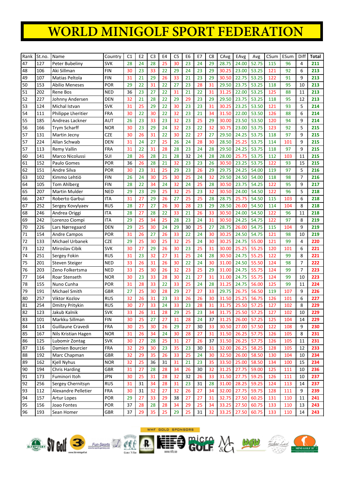| Rank | St.no. | Name                  | Country    | C1 | E <sub>2</sub> | C <sub>3</sub> | E4 | C <sub>5</sub> | E6 | E7 | C <sub>8</sub> | CAvg  | EAvg        | Avg   | CSum | ESum | Diff           | Total |
|------|--------|-----------------------|------------|----|----------------|----------------|----|----------------|----|----|----------------|-------|-------------|-------|------|------|----------------|-------|
| 47   | 127    | Peter Bubeliny        | <b>SVK</b> | 28 | 24             | 28             | 25 | 30             | 23 | 24 | 29             | 28.75 | 24.00       | 52.75 | 115  | 96   | 4              | 211   |
| 48   | 106    | Aki Sillman           | <b>FIN</b> | 30 | 23             | 33             | 22 | 29             | 24 | 23 | 29             | 30.25 | 23.00       | 53.25 | 121  | 92   | 6              | 213   |
| 49   | 107    | Matias Peltola        | <b>FIN</b> | 31 | 21             | 29             | 26 | 33             | 21 | 23 | 29             | 30.50 | 22.75       | 53.25 | 122  | 91   | 9              | 213   |
| 50   | 153    | <b>Abilio Meneses</b> | POR        | 29 | 22             | 31             | 22 | 27             | 23 | 28 | 31             | 29.50 | 23.75       | 53.25 | 118  | 95   | 10             | 213   |
| 51   | 202    | Rene Bos              | <b>NED</b> | 36 | 23             | 27             | 22 | 31             | 21 | 22 | 31             | 31.25 | 22.00       | 53.25 | 125  | 88   | 11             | 213   |
| 52   | 227    | Johnny Andersen       | <b>DEN</b> | 32 | 21             | 28             | 22 | 29             | 29 | 23 | 29             | 29.50 | 23.75       | 53.25 | 118  | 95   | 12             | 213   |
| 53   | 124    | Michal Istvan         | <b>SVK</b> | 31 | 25             | 29             | 22 | 30             | 23 | 23 | 31             | 30.25 | 23.25       | 53.50 | 121  | 93   | 5              | 214   |
| 54   | 111    | Philippe Lheritier    | FRA        | 30 | 22             | 30             | 22 | 32             | 23 | 21 | 34             | 31.50 | 22.00       | 53.50 | 126  | 88   | 6              | 214   |
| 55   | 185    | Andreas Lackner       | AUT        | 26 | 23             | 33             | 23 | 32             | 23 | 25 | 29             | 30.00 | 23.50       | 53.50 | 120  | 94   | 9              | 214   |
| 56   | 166    | <b>Trym Scharff</b>   | <b>NOR</b> | 30 | 23             | 29             | 24 | 32             | 23 | 22 | 32             | 30.75 | 23.00       | 53.75 | 123  | 92   | 5              | 215   |
| 57   | 131    | Martin Jecny          | <b>CZE</b> | 30 | 26             | 31             | 22 | 30             | 22 | 27 | 27             | 29.50 | 24.25       | 53.75 | 118  | 97   | 9              | 215   |
| 57   | 224    | Allan Schwab          | DEN        | 31 | 24             | 27             | 25 | 26             | 24 | 28 | 30             | 28.50 | 25.25       | 53.75 | 114  | 101  | 9              | 215   |
| 57   | 113    | <b>Remy Vallin</b>    | <b>FRA</b> | 31 | 22             | 31             | 28 | 28             | 23 | 24 | 28             | 29.50 | 24.25       | 53.75 | 118  | 97   | 9              | 215   |
| 60   | 141    | Marco Nicolussi       | SUI        | 28 | 26             | 28             | 21 | 28             | 32 | 24 | 28             | 28.00 | 25.75       | 53.75 | 112  | 103  | 11             | 215   |
| 61   | 152    | Paulo Gomes           | POR        | 36 | 26             | 28             | 21 | 32             | 23 | 23 | 26             | 30.50 | 23.25       | 53.75 | 122  | 93   | 15             | 215   |
| 62   | 151    | Andre Silva           | <b>POR</b> | 30 | 23             | 31             | 25 | 29             | 23 | 26 | 29             | 29.75 | 24.25       | 54.00 | 119  | 97   | 5              | 216   |
| 63   | 102    | Kimmo Lehtiö          | <b>FIN</b> | 26 | 24             | 30             | 25 | 30             | 25 | 24 | 32             | 29.50 | 24.50       | 54.00 | 118  | 98   | $\overline{7}$ | 216   |
| 64   | 105    | <b>Tom Ahlberg</b>    | <b>FIN</b> | 28 | 22             | 34             | 24 | 32             | 24 | 25 | 28             | 30.50 | 23.75       | 54.25 | 122  | 95   | 9              | 217   |
| 65   | 207    | <b>Martin Mulder</b>  | <b>NED</b> | 29 | 23             | 29             | 25 | 32             | 25 | 23 | 32             | 30.50 | 24.00       | 54.50 | 122  | 96   | 5              | 218   |
| 66   | 247    | Roberto Garbui        | <b>ITA</b> | 31 | 27             | 29             | 26 | 27             | 25 | 25 | 28             | 28.75 | 25.75       | 54.50 | 115  | 103  | 6              | 218   |
| 67   | 252    | Sergey Kovylyaev      | <b>RUS</b> | 28 | 27             | 27             | 26 | 30             | 28 | 23 | 29             | 28.50 | 26.00       | 54.50 | 114  | 104  | 8              | 218   |
| 68   | 246    | Andrea Origgi         | <b>ITA</b> | 28 | 27             | 28             | 22 | 33             | 21 | 26 | 33             | 30.50 | 24.00       | 54.50 | 122  | 96   | 11             | 218   |
| 69   | 242    | Lorenzo Ciompi        | ITA        | 29 | 25             | 34             | 25 | 28             | 23 | 24 | 31             | 30.50 | 24.25       | 54.75 | 122  | 97   | 8              | 219   |
| 70   | 226    | Lars Nørregaard       | <b>DEN</b> | 29 | 25             | 30             | 24 | 29             | 30 | 25 | 27             | 28.75 | 26.00       | 54.75 | 115  | 104  | 9              | 219   |
| 71   | 154    | <b>Andre Campos</b>   | <b>POR</b> | 31 | 26             | 27             | 26 | 33             | 22 | 24 | 30             | 30.25 | 24.50       | 54.75 | 121  | 98   | 10             | 219   |
| 72   | 133    | Michael Urbanek       | <b>CZE</b> | 29 | 25             | 30             | 25 | 32             | 25 | 24 | 30             | 30.25 | 24.75       | 55.00 | 121  | 99   | 4              | 220   |
| 73   | 122    | Miroslav Cibik        | <b>SVK</b> | 30 | 27             | 29             | 26 | 30             | 23 | 25 | 31             | 30.00 | 25.25       | 55.25 | 120  | 101  | 6              | 221   |
| 74   | 251    | Sergey Fokin          | <b>RUS</b> | 31 | 23             | 32             | 27 | 31             | 25 | 24 | 28             | 30.50 | 24.75       | 55.25 | 122  | 99   | 8              | 221   |
| 75   | 201    | Steven Steiger        | <b>NED</b> | 33 | 26             | 31             | 26 | 30             | 22 | 24 | 30             | 31.00 | 24.50       | 55.50 | 124  | 98   | $\overline{7}$ | 222   |
| 76   | 203    | Zeno Folkertsma       | <b>NED</b> | 33 | 25             | 30             | 26 | 32             | 23 | 25 | 29             | 31.00 | 24.75       | 55.75 | 124  | 99   | $\overline{7}$ | 223   |
| 77   | 164    | Roar Stenseth         | <b>NOR</b> | 30 | 23             | 33             | 28 | 30             | 21 | 27 | 31             | 31.00 | 24.75       | 55.75 | 124  | 99   | 10             | 223   |
| 78   | 155    | Nuno Cunha            | <b>POR</b> | 31 | 28             | 33             | 22 | 33             | 25 | 24 | 28             | 31.25 | 24.75       | 56.00 | 125  | 99   | 11             | 224   |
| 79   | 191    | Michael Smith         | GBR        | 27 | 25             | 30             | 28 | 29             | 27 | 27 | 33             | 29.75 | 26.75       | 56.50 | 119  | 107  | 9              | 226   |
| 80   | 257    | Viktor Kozlov         | <b>RUS</b> | 32 | 26             | 31             | 23 | 33             | 26 | 26 | 30             | 31.50 | 25.25       | 56.75 | 126  | 101  | 6              | 227   |
| 81   | 254    | Dmitry Pritykin       | <b>RUS</b> | 30 | 27             | 33             | 24 | 33             | 23 | 28 | 31             | 31.75 | 25.50       | 57.25 | 127  | 102  | 8              | 229   |
| 82   | 123    | Jakub Kalnik          | SVK        | 33 | 26             | 31             | 28 | 29             | 25 | 23 | 34             | 31.75 | 25.50 57.25 |       | 127  | 102  | 10             | 229   |
| 83   | 101    | Markku Sillman        | <b>FIN</b> | 30 | 25             | 27             | 27 | 31             | 28 | 24 | 37             | 31.25 | 26.00       | 57.25 | 125  | 104  | 14             | 229   |
| 84   | 114    | Guillaune Cravedi     | <b>FRA</b> | 30 | 25             | 30             | 26 | 29             | 27 | 30 | 33             | 30.50 | 27.00 57.50 |       | 122  | 108  | 9              | 230   |
| 85   | 167    | Nils Kristian Hagen   | <b>NOR</b> | 31 | 26             | 34             | 24 | 30             | 28 | 27 | 31             | 31.50 | 26.25 57.75 |       | 126  | 105  | 8              | 231   |
| 86   | 125    | Lubomir Zontag        | <b>SVK</b> | 30 | 27             | 28             | 25 | 31             | 27 | 26 | 37             | 31.50 | 26.25       | 57.75 | 126  | 105  | 11             | 231   |
| 87   | 116    | Damien Bourcier       | <b>FRA</b> | 32 | 29             | 30             | 23 | 35             | 23 | 30 | 31             | 32.00 | 26.25       | 58.25 | 128  | 105  | 12             | 233   |
| 88   | 192    | Marc Chapman          | GBR        | 32 | 29             | 35             | 26 | 33             | 25 | 24 | 30             | 32.50 | 26.00       | 58.50 | 130  | 104  | 10             | 234   |
| 89   | 162    | Kjell Nyhus           | <b>NOR</b> | 32 | 25             | 36             | 31 | 31             | 21 | 23 | 35             | 33.50 | 25.00       | 58.50 | 134  | 100  | 15             | 234   |
| 90   | 194    | <b>Chris Harding</b>  | <b>GBR</b> | 31 | 27             | 28             | 28 | 34             | 26 | 30 | 32             | 31.25 | 27.75       | 59.00 | 125  | 111  | 10             | 236   |
| 91   | 173    | Fuminori Itoh         | <b>JPN</b> | 30 | 25             | 31             | 28 | 32             | 32 | 26 | 33             | 31.50 | 27.75       | 59.25 | 126  | 111  | 10             | 237   |
| 92   | 256    | Sergey Chernitsyn     | <b>RUS</b> | 31 | 31             | 34             | 28 | 31             | 23 | 31 | 28             | 31.00 | 28.25       | 59.25 | 124  | 113  | 14             | 237   |
| 93   | 112    | Alexandre Pelletier   | <b>FRA</b> | 30 | 31             | 32             | 27 | 32             | 26 | 27 | 34             | 32.00 | 27.75       | 59.75 | 128  | 111  | 9              | 239   |
| 94   | 157    | Artur Lopes           | POR        | 29 | 27             | 33             | 29 | 38             | 27 | 27 | 31             | 32.75 | 27.50       | 60.25 | 131  | 110  | 11             | 241   |
| 95   | 156    | Joao Fontes           | POR        | 37 | 28             | 28             | 28 | 34             | 29 | 25 | 34             | 33.25 | 27.50       | 60.75 | 133  | 110  | 13             | 243   |
| 96   | 193    | Sean Homer            | GBR        | 37 | 29             | 35             | 25 | 29             | 25 | 31 | 32             | 33.25 | 27.50       | 60.75 | 133  | 110  | 14             | 243   |













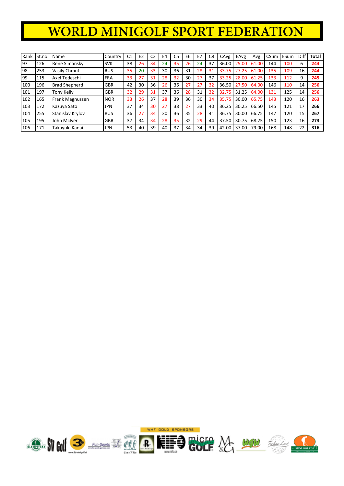| Rank | St.no. | l Name               | Country    | C <sub>1</sub> | E <sub>2</sub> | C <sub>3</sub> | E <sub>4</sub> | C <sub>5</sub> | E6 | E7 | C <sub>8</sub> | CAvg  | EAvg  | Avg   | CSum | ESum | Diff | <b>Total</b> |
|------|--------|----------------------|------------|----------------|----------------|----------------|----------------|----------------|----|----|----------------|-------|-------|-------|------|------|------|--------------|
| 97   | 126    | Rene Simansky        | <b>SVK</b> | 38             | 26             | 34             | 24             | 35             | 26 | 24 | 37             | 36.00 | 25.00 | 61.00 | 144  | 100  | 6    | 244          |
| 98   | 253    | Vasily Chmut         | <b>RUS</b> | 35             | 20             | 33             | 30             | 36             | 31 | 28 | 31             | 33.75 | 27.25 | 61.00 | 135  | 109  | 16   | 244          |
| 99   | 115    | Axel Tedeschi        | <b>FRA</b> | 33             | 27             | 31             | 28             | 32             | 30 | 27 | 37             | 33.25 | 28.00 | 61.25 | 133  | 112  | 9    | 245          |
| 100  | 196    | <b>Brad Shepherd</b> | <b>GBR</b> | 42             | 30             | 36             | 26             | 36             | 27 | 27 | 32             | 36.50 | 27.50 | 64.00 | 146  | 110  | 14   | 256          |
| 101  | 197    | Tony Kelly           | <b>GBR</b> | 32             | 29             | 31             | 37             | 36             | 28 | 31 | 32             | 32.75 | 31.25 | 64.00 | 131  | 125  | 14   | 256          |
| 102  | 165    | Frank Magnussen      | <b>NOR</b> | 33             | 26             | 37             | 28             | 39             | 36 | 30 | 34             | 35.75 | 30.00 | 65.75 | 143  | 120  | 16   | 263          |
| 103  | 172    | Kazuya Sato          | <b>JPN</b> | 37             | 34             | 30             | 27             | 38             | 27 | 33 | 40             | 36.25 | 30.25 | 66.50 | 145  | 121  | 17   | 266          |
| 104  | 255    | Stanislav Krylov     | <b>RUS</b> | 36             | 27             | 34             | 30             | 36             | 35 | 28 | 41             | 36.75 | 30.00 | 66.75 | 147  | 120  | 15   | 267          |
| 105  | 195    | John McIver          | <b>GBR</b> | 37             | 34             | 34             | 28             | 35             | 32 | 29 | 44             | 37.50 | 30.75 | 68.25 | 150  | 123  | 16   | 273          |
| 106  | 171    | Takayuki Kanai       | <b>JPN</b> | 53             | 40             | 39             | 40             | 37             | 34 | 34 | 39             | 42.00 | 37.00 | 79.00 | 168  | 148  | 22   | 316          |

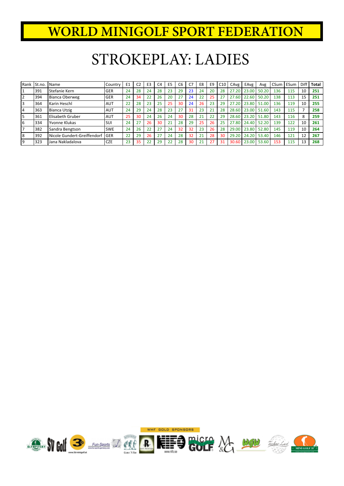### STROKEPLAY: LADIES

| Rank | St.no. | l Name                      | Country    | E <sub>1</sub> | C <sub>2</sub> | E3 | C <sub>4</sub> | E <sub>5</sub> | C <sub>6</sub> | C7 | E8 | E <sub>9</sub> | C10 | CAvg  | EAvg  | Avg   | CSum   ESum |     | <b>Diff</b> | <b>Total</b> |
|------|--------|-----------------------------|------------|----------------|----------------|----|----------------|----------------|----------------|----|----|----------------|-----|-------|-------|-------|-------------|-----|-------------|--------------|
|      | 391    | Stefanie Kern               | <b>GER</b> | 24             | 28             | 24 | 28             | 23             | 29             | 23 | 24 | 20             | 28  | 27.20 | 23.00 | 50.20 | 136         | 115 | 10          | 251          |
| 2    | 394    | Bianca Oberweg              | <b>GER</b> | 24             | 34             | 22 | 26             | 20             | 27             | 24 | 22 | 25             | 27  | 27.60 | 22.60 | 50.20 | 138         | 113 | 15          | 251          |
| 3    | 364    | Karin Heschl                | AUT        | 22             | 28             | 23 | 25             | 25             | 30             | 24 | 26 | 23             | 29  | 27.20 | 23.80 | 51.00 | 136         | 119 | 10          | 255          |
| 14   | 363    | Bianca Utzig                | <b>AUT</b> | 24             | 29             | 24 | 28             | 23             | 27             | 31 | 23 | 21             | 28  | 28.60 | 23.00 | 51.60 | 143         | 115 |             | 258          |
| 5    | 361    | Elisabeth Gruber            | <b>AUT</b> | 25             | 30             | 24 | 26             | 24             | 30             | 28 | 21 | 22             | 29  | 28.60 | 23.20 | 51.80 | 143         | 116 | 8           | 259          |
| 6    | 334    | Yvonne Klukas               | SUI        | 24             | 77             | 26 | 30             |                | 28             | 29 | 25 | 26             | 25  | 27.80 | 24.40 | 52.20 | 139         | 122 | 10          | 261          |
|      | 382    | Sandra Bengtson             | <b>SWE</b> | 24             | 26             | 22 | 27             | 24             | 32             | 32 | 23 | 26             | 28  | 29.00 | 23.80 | 52.80 | 145         | 119 | 10          | 264          |
| 18   | 392    | Nicole Gundert-Greiffendorf | l GER      | 22             | 29             | 26 | 27             | 24             | 28             | 32 | 21 | 28             | 30  | 29.20 | 24.20 | 53.40 | 146         | 121 | 12          | 267          |
| 9    | 323    | Jana Nakladalova            | <b>CZE</b> | 23             | 35             | 22 | 29             | 22             | 28             | 30 | 21 | 27             | 31  | 30.60 | 23.00 | 53.60 | 153         | 115 |             | 268          |

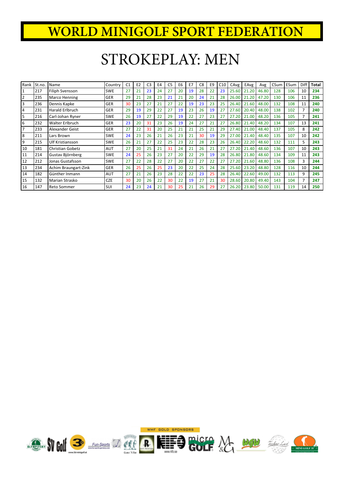### STROKEPLAY: MEN

| Rank           | St.no. | Name                    | Country    | C <sub>1</sub> | E <sub>2</sub> | C3 | E4 | C <sub>5</sub> | E6 | E7 | C <sub>8</sub> | E <sub>9</sub> | C10 | CAvg  | EAvg  | Avg   | CSum | ESum | Diff           | <b>Total</b> |
|----------------|--------|-------------------------|------------|----------------|----------------|----|----|----------------|----|----|----------------|----------------|-----|-------|-------|-------|------|------|----------------|--------------|
| $\overline{1}$ | 217    | Filiph Svensson         | <b>SWE</b> | 27             | 21             | 23 | 24 | 27             | 20 | 19 | 28             | 22             | 23  | 25.60 | 21.20 | 46.80 | 128  | 106  | 10             | 234          |
| $\overline{2}$ | 235    | Marco Henning           | <b>GER</b> | 29             | 21             | 28 | 23 | 21             | 21 | 20 | 24             | 21             | 28  | 26.00 | 21.20 | 47.20 | 130  | 106  | 11             | 236          |
| 3              | 236    | Dennis Kapke            | <b>GER</b> | 30             | 23             | 27 | 21 | 27             | 22 | 19 | 23             | 23             | 25  | 26.40 | 21.60 | 48.00 | 132  | 108  | 11             | 240          |
| $\overline{4}$ | 231    | Harald Erlbruch         | <b>GER</b> | 29             | 19             | 29 | 22 | 27             | 19 | 23 | 26             | 19             | 27  | 27.60 | 20.40 | 48.00 | 138  | 102  | $\overline{7}$ | 240          |
| 5              | 216    | Carl-Johan Ryner        | <b>SWE</b> | 26             | 19             | 27 | 22 | 29             | 19 | 22 | 27             | 23             | 27  | 27.20 | 21.00 | 48.20 | 136  | 105  |                | 241          |
| 6              | 232    | Walter Erlbruch         | <b>GER</b> | 23             | 20             | 31 | 23 | 26             | 19 | 24 | 27             | 21             | 27  | 26.80 | 21.40 | 48.20 | 134  | 107  | 13             | 241          |
| $\overline{7}$ | 233    | Alexander Geist         | <b>GER</b> | 27             | 22             | 31 | 20 | 25             | 21 | 21 | 25             | 21             | 29  | 27.40 | 21.00 | 48.40 | 137  | 105  | 8              | 242          |
| 8              | 211    | Lars Brown              | <b>SWE</b> | 24             | 23             | 26 | 21 | 26             | 23 | 21 | 30             | 19             | 29  | 27.00 | 21.40 | 48.40 | 135  | 107  | 10             | 242          |
| 9              | 215    | Ulf Kristiansson        | <b>SWE</b> | 26             | 21             | 27 | 22 | 25             | 23 | 22 | 28             | 23             | 26  | 26.40 | 22.20 | 48.60 | 132  | 111  | 5.             | 243          |
| 10             | 181    | <b>Christian Gobetz</b> | <b>AUT</b> | 27             | 20             | 25 | 21 | 31             | 24 | 21 | 26             | 21             | 27  | 27.20 | 21.40 | 48.60 | 136  | 107  | 10             | 243          |
| 11             | 214    | Gustav Björnberg        | <b>SWE</b> | 24             | 25             | 26 | 23 | 27             | 20 | 22 | 29             | 19             | 28  | 26.80 | 21.80 | 48.60 | 134  | 109  | 11             | 243          |
| 12             | 212    | Jonas Gustafsson        | <b>SWE</b> | 27             | 22             | 28 | 22 | 27             | 20 | 22 | 27             | 22             | 27  | 27.20 | 21.60 | 48.80 | 136  | 108  | 3              | 244          |
| 13             | 234    | Achim Braungart-Zink    | <b>GER</b> | 26             | 25             | 26 | 25 | 23             | 20 | 22 | 25             | 24             | 28  | 25.60 | 23.20 | 48.80 | 128  | 116  | 10             | 244          |
| 14             | 182    | Günther Inmann          | <b>AUT</b> | 27             | 21             | 26 | 23 | 28             | 22 | 22 | 23             | 25             | 28  | 26.40 | 22.60 | 49.00 | 132  | 113  | 9              | 245          |
| 15             | 132    | Marian Strasko          | <b>CZE</b> | 30             | 20             | 26 | 22 | 30             | 22 | 19 | 27             | 21             | 30  | 28.60 | 20.80 | 49.40 | 143  | 104  | 7              | 247          |
| 16             | 147    | Reto Sommer             | SUI        | 24             | 23             | 24 | 21 | 30             | 25 | 21 | 26             | 29             | 27  | 26.20 | 23.80 | 50.00 | 131  | 119  | 14             | 250          |

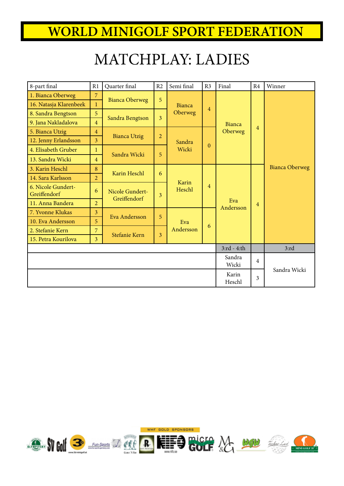## MATCHPLAY: LADIES

| 8-part final                       | R1             | Quarter final                   | R2             | Semi final | R <sub>3</sub> | Final            | R <sub>4</sub> | Winner                |
|------------------------------------|----------------|---------------------------------|----------------|------------|----------------|------------------|----------------|-----------------------|
| 1. Bianca Oberweg                  | $\overline{7}$ |                                 | 5              |            |                |                  |                |                       |
| 16. Natasja Klarenbeek             | $\mathbf{1}$   | <b>Bianca Oberweg</b>           |                | Bianca     | $\overline{4}$ |                  |                |                       |
| 8. Sandra Bengtson                 | 5              |                                 | 3              | Oberweg    |                |                  |                |                       |
| 9. Jana Nakladalova                | $\overline{4}$ | Sandra Bengtson                 |                |            |                | Bianca           |                |                       |
| 5. Bianca Utzig                    | $\overline{4}$ | <b>Bianca Utzig</b>             | $\overline{2}$ |            |                | Oberweg          | $\overline{4}$ |                       |
| 12. Jenny Erlandsson               | $\overline{3}$ |                                 |                | Sandra     |                |                  |                |                       |
| 4. Elisabeth Gruber                | 1              | Sandra Wicki                    | 5              | Wicki      | $\mathbf{0}$   |                  |                |                       |
| 13. Sandra Wicki                   | $\overline{4}$ |                                 |                |            |                |                  |                |                       |
| 3. Karin Heschl                    | 8              | Karin Heschl                    | 6              |            |                |                  |                | <b>Bianca Oberweg</b> |
| 14. Sara Karlsson                  | $\overline{2}$ |                                 |                | Karin      |                |                  |                |                       |
| 6. Nicole Gundert-<br>Greiffendorf | 6              | Nicole Gundert-<br>Greiffendorf | 3              | Heschl     | $\overline{4}$ |                  |                |                       |
| 11. Anna Bandera                   | $\overline{2}$ |                                 |                |            |                | Eva<br>Andersson | $\overline{4}$ |                       |
| 7. Yvonne Klukas                   | $\overline{3}$ | Eva Andersson                   | 5              |            |                |                  |                |                       |
| 10. Eva Andersson                  | $\overline{5}$ |                                 |                | Eva        | 6              |                  |                |                       |
| 2. Stefanie Kern                   | $\overline{7}$ | Stefanie Kern                   | 3              | Andersson  |                |                  |                |                       |
| 15. Petra Kourilova                | $\overline{3}$ |                                 |                |            |                |                  |                |                       |
|                                    |                |                                 |                |            |                | $3:rd - 4:th$    |                | 3:rd                  |
|                                    |                |                                 |                |            |                | Sandra<br>Wicki  | $\overline{4}$ |                       |
|                                    |                |                                 |                |            |                | Karin<br>Heschl  | 3              | Sandra Wicki          |

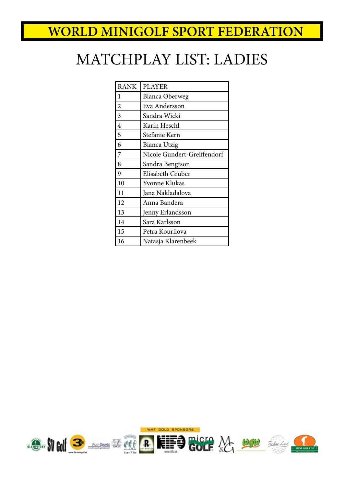# MATCHPLAY LIST: LADIES

| <b>RANK</b>    | <b>PLAYER</b>               |
|----------------|-----------------------------|
| $\mathbf{1}$   | Bianca Oberweg              |
| $\overline{2}$ | Eva Andersson               |
| $\overline{3}$ | Sandra Wicki                |
| 4              | Karin Heschl                |
| 5              | Stefanie Kern               |
| 6              | Bianca Utzig                |
| 7              | Nicole Gundert-Greiffendorf |
| 8              | Sandra Bengtson             |
| 9              | Elisabeth Gruber            |
| 10             | Yvonne Klukas               |
| 11             | Jana Nakladalova            |
| 12             | Anna Bandera                |
| 13             | Jenny Erlandsson            |
| 14             | Sara Karlsson               |
| 15             | Petra Kourilova             |
| 16             | Natasja Klarenbeek          |

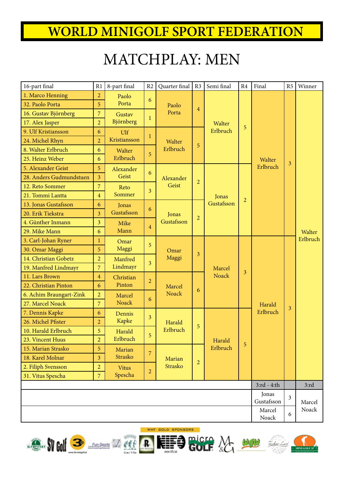# MATCHPLAY: MEN

| 16-part final           | R1             | 8-part final | R <sub>2</sub>   | Quarter final | R <sub>3</sub> | Semi final   | R4             | Final           | R <sub>5</sub>          | Winner   |
|-------------------------|----------------|--------------|------------------|---------------|----------------|--------------|----------------|-----------------|-------------------------|----------|
| 1. Marco Henning        | 2              | Paolo        | $6\phantom{.}6$  |               |                |              |                |                 |                         |          |
| 32. Paolo Porta         | 5              | Porta        |                  | Paolo         | $\overline{4}$ |              |                |                 |                         |          |
| 16. Gustav Björnberg    | $\overline{7}$ | Gustav       | 1                | Porta         |                |              |                |                 |                         |          |
| 17. Alex Jasper         | $\overline{2}$ | Björnberg    |                  |               |                | Walter       | 5              |                 |                         |          |
| 9. Ulf Kristiansson     | 6              | Ulf          | 1                |               |                | Erlbruch     |                |                 |                         |          |
| 24. Michel Rhyn         | $\overline{2}$ | Kristiansson |                  | Walter        | 5              |              |                |                 |                         |          |
| 8. Walter Erlbruch      | 6              | Walter       | 5                | Erlbruch      |                |              |                |                 |                         |          |
| 25. Heinz Weber         | 6              | Erlbruch     |                  |               |                |              |                | Walter          | $\overline{\mathbf{3}}$ |          |
| 5. Alexander Geist      | 5              | Alexander    | 6                |               |                |              |                | Erlbruch        |                         |          |
| 28. Anders Gudmundstuen | $\overline{3}$ | Geist        |                  | Alexander     | $\overline{2}$ |              |                |                 |                         |          |
| 12. Reto Sommer         | $\overline{7}$ | Reto         | $\overline{3}$   | Geist         |                |              |                |                 |                         |          |
| 21. Tommi Lantta        | $\overline{4}$ | Sommer       |                  |               |                | Jonas        | $\overline{2}$ |                 |                         |          |
| 13. Jonas Gustafsson    | 6              | Jonas        | $\boldsymbol{6}$ |               |                | Gustafsson   |                |                 |                         |          |
| 20. Erik Tiekstra       | $\overline{3}$ | Gustafsson   |                  | Jonas         | $\overline{c}$ |              |                |                 |                         |          |
| 4. Günther Inmann       | 3              | Mike         | $\overline{4}$   | Gustafsson    |                |              |                |                 |                         |          |
| 29. Mike Mann           | 6              | Mann         |                  |               |                |              |                |                 |                         | Walter   |
| 3. Carl-Johan Ryner     | $\mathbf{1}$   | Omar         | 5                |               |                |              |                |                 |                         | Erlbruch |
| 30. Omar Maggi          | 5              | Maggi        |                  | Omar          | $\overline{3}$ |              |                |                 |                         |          |
| 14. Christian Gobetz    | $\overline{2}$ | Manfred      | 3                | Maggi         |                |              |                |                 |                         |          |
| 19. Manfred Lindmayr    | $\overline{7}$ | Lindmayr     |                  |               |                | Marcel       | $\overline{3}$ |                 |                         |          |
| 11. Lars Brown          | $\overline{4}$ | Christian    | $\overline{2}$   |               |                | <b>Noack</b> |                |                 |                         |          |
| 22. Christian Pinton    | 6              | Pinton       |                  | Marcel        | 6              |              |                |                 |                         |          |
| 6. Achim Braungart-Zink | $\overline{2}$ | Marcel       | 6                | <b>Noack</b>  |                |              |                |                 |                         |          |
| 27. Marcel Noack        | $\overline{7}$ | <b>Noack</b> |                  |               |                |              |                | Harald          | 3                       |          |
| 7. Dennis Kapke         | 6              | Dennis       | $\overline{3}$   |               |                |              |                | Erlbruch        |                         |          |
| 26. Michel Pfister      | $\overline{2}$ | Kapke        |                  | Harald        | 5              |              |                |                 |                         |          |
| 10. Harald Erlbruch     | 5              | Harald       | 5                | Erlbruch      |                |              |                |                 |                         |          |
| 23. Vincent Huus        | $\overline{a}$ | Erlbruch     |                  |               |                | Harald       | 5              |                 |                         |          |
| 15. Marian Strasko      | 5              | Marian       | 7                |               |                | Erlbruch     |                |                 |                         |          |
| 18. Karel Molnar        | $\overline{3}$ | Strasko      |                  | Marian        | $\overline{a}$ |              |                |                 |                         |          |
| 2. Filiph Svensson      | $\overline{2}$ | <b>Vitus</b> | $\overline{a}$   | Strasko       |                |              |                |                 |                         |          |
| 31. Vitus Spescha       | $\overline{7}$ | Spescha      |                  |               |                |              |                |                 |                         |          |
|                         |                |              |                  |               |                |              |                | 3:rd - 4:th     |                         | 3:rd     |
|                         |                |              |                  |               |                |              |                | Jonas           | 3                       |          |
|                         |                |              |                  |               |                |              |                | Gustafsson      |                         | Marcel   |
|                         |                |              |                  |               |                |              |                | Marcel<br>Noack | 6                       | Noack    |
|                         |                |              |                  |               |                |              |                |                 |                         |          |









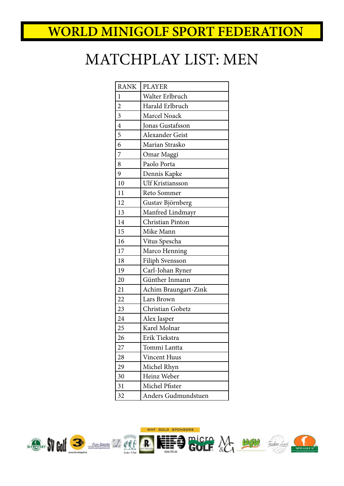# MATCHPLAY LIST: MEN

| <b>RANK</b>    | <b>PLAYER</b>           |
|----------------|-------------------------|
| $\mathbf{1}$   | Walter Erlbruch         |
| $\overline{c}$ | Harald Erlbruch         |
| $\frac{3}{4}$  | Marcel Noack            |
|                | Jonas Gustafsson        |
| $\overline{5}$ | Alexander Geist         |
| 6              | Marian Strasko          |
| $\overline{7}$ | Omar Maggi              |
| 8              | Paolo Porta             |
| 9              | Dennis Kapke            |
| 10             | <b>Ulf Kristiansson</b> |
| 11             | Reto Sommer             |
| 12             | Gustav Björnberg        |
| 13             | Manfred Lindmayr        |
| 14             | Christian Pinton        |
| 15             | Mike Mann               |
| 16             | Vitus Spescha           |
| 17             | Marco Henning           |
| 18             | Filiph Svensson         |
| 19             | Carl-Johan Ryner        |
| 20             | Günther Inmann          |
| 21             | Achim Braungart-Zink    |
| 22             | Lars Brown              |
| 23             | Christian Gobetz        |
| 24             | Alex Jasper             |
| 25             | Karel Molnar            |
| 26             | Erik Tiekstra           |
| 27             | Tommi Lantta            |
| 28             | <b>Vincent Huus</b>     |
| 29             | Michel Rhyn             |
| 30             | Heinz Weber             |
| 31             | Michel Pfister          |
| 32             | Anders Gudmundstuen     |
|                |                         |

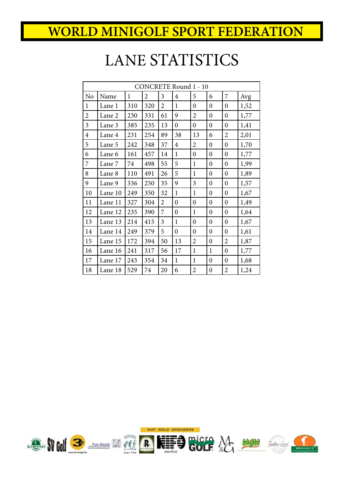## LANE STATISTICS

| <b>CONCRETE Round 1 - 10</b> |         |              |                |                         |                  |                  |                  |                  |      |
|------------------------------|---------|--------------|----------------|-------------------------|------------------|------------------|------------------|------------------|------|
| N <sub>o</sub>               | Name    | $\mathbf{1}$ | $\overline{2}$ | $\overline{3}$          | $\overline{4}$   | 5                | 6                | 7                | Avg  |
| $\mathbf{1}$                 | Lane 1  | 310          | 320            | $\overline{2}$          | $\mathbf{1}$     | $\boldsymbol{0}$ | $\boldsymbol{0}$ | $\boldsymbol{0}$ | 1,52 |
| $\overline{c}$               | Lane 2  | 230          | 331            | 61                      | 9                | $\overline{2}$   | $\mathbf{0}$     | $\overline{0}$   | 1,77 |
| $\overline{\mathbf{3}}$      | Lane 3  | 385          | 235            | 13                      | $\overline{0}$   | $\boldsymbol{0}$ | $\boldsymbol{0}$ | $\boldsymbol{0}$ | 1,41 |
| $\overline{4}$               | Lane 4  | 231          | 254            | 89                      | 38               | 13               | 6                | $\overline{2}$   | 2,01 |
| 5                            | Lane 5  | 242          | 348            | 37                      | $\overline{4}$   | $\overline{2}$   | $\mathbf{0}$     | $\overline{0}$   | 1,70 |
| 6                            | Lane 6  | 161          | 457            | 14                      | 1                | $\boldsymbol{0}$ | $\mathbf{0}$     | $\boldsymbol{0}$ | 1,77 |
| 7                            | Lane 7  | 74           | 498            | 55                      | 5                | $\mathbf{1}$     | $\boldsymbol{0}$ | $\boldsymbol{0}$ | 1,99 |
| 8                            | Lane 8  | 110          | 491            | 26                      | 5                | $\mathbf{1}$     | $\boldsymbol{0}$ | $\boldsymbol{0}$ | 1,89 |
| 9                            | Lane 9  | 336          | 250            | 35                      | 9                | 3                | $\mathbf{0}$     | $\boldsymbol{0}$ | 1,57 |
| 10                           | Lane 10 | 249          | 350            | 32                      | $\mathbf{1}$     | $\mathbf{1}$     | $\boldsymbol{0}$ | $\boldsymbol{0}$ | 1,67 |
| 11                           | Lane 11 | 327          | 304            | $\overline{2}$          | $\overline{0}$   | $\overline{0}$   | $\mathbf{0}$     | $\boldsymbol{0}$ | 1,49 |
| 12                           | Lane 12 | 235          | 390            | 7                       | $\boldsymbol{0}$ | $\mathbf{1}$     | $\mathbf{0}$     | $\boldsymbol{0}$ | 1,64 |
| 13                           | Lane 13 | 214          | 415            | $\overline{\mathbf{3}}$ | $\mathbf{1}$     | $\boldsymbol{0}$ | $\boldsymbol{0}$ | $\boldsymbol{0}$ | 1,67 |
| 14                           | Lane 14 | 249          | 379            | 5                       | $\boldsymbol{0}$ | $\boldsymbol{0}$ | $\boldsymbol{0}$ | $\boldsymbol{0}$ | 1,61 |
| 15                           | Lane 15 | 172          | 394            | 50                      | 13               | $\overline{2}$   | $\boldsymbol{0}$ | $\overline{2}$   | 1,87 |
| 16                           | Lane 16 | 241          | 317            | 56                      | 17               | 1                | $\mathbf{1}$     | $\boldsymbol{0}$ | 1,77 |
| 17                           | Lane 17 | 243          | 354            | 34                      | $\mathbf{1}$     | $\mathbf{1}$     | $\boldsymbol{0}$ | $\boldsymbol{0}$ | 1,68 |
| 18                           | Lane 18 | 529          | 74             | 20                      | 6                | $\overline{2}$   | $\boldsymbol{0}$ | $\overline{2}$   | 1,24 |